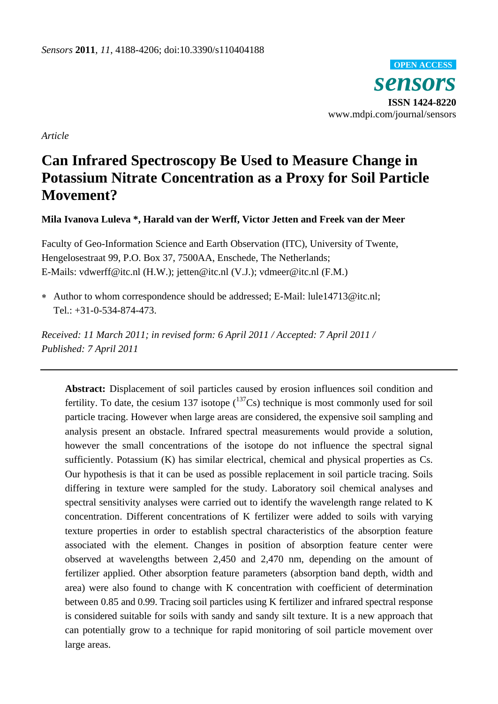*sensors* **ISSN 1424-8220** www.mdpi.com/journal/sensors **OPEN ACCESS**

*Article*

# **Can Infrared Spectroscopy Be Used to Measure Change in Potassium Nitrate Concentration as a Proxy for Soil Particle Movement?**

**Mila Ivanova Luleva \*, Harald van der Werff, Victor Jetten and Freek van der Meer**

Faculty of Geo-Information Science and Earth Observation (ITC), University of Twente, Hengelosestraat 99, P.O. Box 37, 7500AA, Enschede, The Netherlands; E-Mails: vdwerff@itc.nl (H.W.); jetten@itc.nl (V.J.); vdmeer@itc.nl (F.M.)

 Author to whom correspondence should be addressed; E-Mail: lule14713@itc.nl; Tel.: +31-0-534-874-473.

*Received: 11 March 2011; in revised form: 6 April 2011 / Accepted: 7 April 2011 / Published: 7 April 2011*

**Abstract:** Displacement of soil particles caused by erosion influences soil condition and fertility. To date, the cesium 137 isotope  $(^{137}Cs)$  technique is most commonly used for soil particle tracing. However when large areas are considered, the expensive soil sampling and analysis present an obstacle. Infrared spectral measurements would provide a solution, however the small concentrations of the isotope do not influence the spectral signal sufficiently. Potassium (K) has similar electrical, chemical and physical properties as Cs. Our hypothesis is that it can be used as possible replacement in soil particle tracing. Soils differing in texture were sampled for the study. Laboratory soil chemical analyses and spectral sensitivity analyses were carried out to identify the wavelength range related to K concentration. Different concentrations of K fertilizer were added to soils with varying texture properties in order to establish spectral characteristics of the absorption feature associated with the element. Changes in position of absorption feature center were observed at wavelengths between 2,450 and 2,470 nm, depending on the amount of fertilizer applied. Other absorption feature parameters (absorption band depth, width and area) were also found to change with K concentration with coefficient of determination between 0.85 and 0.99. Tracing soil particles using K fertilizer and infrared spectral response is considered suitable for soils with sandy and sandy silt texture. It is a new approach that can potentially grow to a technique for rapid monitoring of soil particle movement over large areas.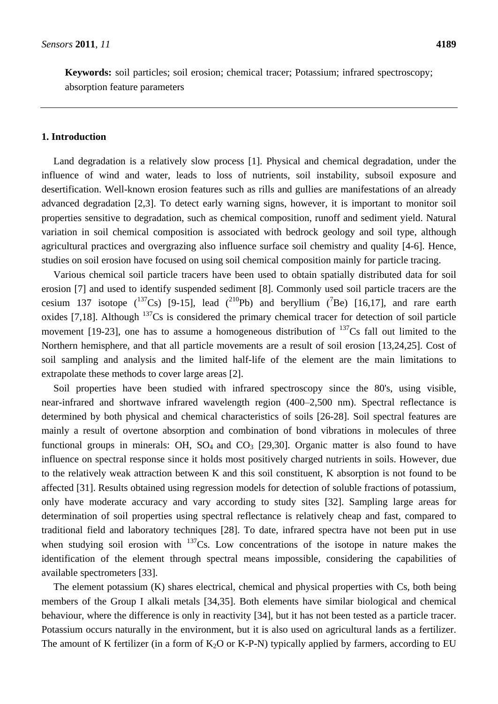**Keywords:** soil particles; soil erosion; chemical tracer; Potassium; infrared spectroscopy; absorption feature parameters

# **1. Introduction**

Land degradation is a relatively slow process [1]. Physical and chemical degradation, under the influence of wind and water, leads to loss of nutrients, soil instability, subsoil exposure and desertification. Well-known erosion features such as rills and gullies are manifestations of an already advanced degradation [2,3]. To detect early warning signs, however, it is important to monitor soil properties sensitive to degradation, such as chemical composition, runoff and sediment yield. Natural variation in soil chemical composition is associated with bedrock geology and soil type, although agricultural practices and overgrazing also influence surface soil chemistry and quality [4-6]. Hence, studies on soil erosion have focused on using soil chemical composition mainly for particle tracing.

Various chemical soil particle tracers have been used to obtain spatially distributed data for soil erosion [7] and used to identify suspended sediment [8]. Commonly used soil particle tracers are the cesium 137 isotope ( $^{137}Cs$ ) [9-15], lead ( $^{210}Pb$ ) and beryllium ( $^{7}Be$ ) [16,17], and rare earth oxides [7,18]. Although  $137$ Cs is considered the primary chemical tracer for detection of soil particle movement [19-23], one has to assume a homogeneous distribution of  $^{137}Cs$  fall out limited to the Northern hemisphere, and that all particle movements are a result of soil erosion [13,24,25]. Cost of soil sampling and analysis and the limited half-life of the element are the main limitations to extrapolate these methods to cover large areas [2].

Soil properties have been studied with infrared spectroscopy since the 80's, using visible, near-infrared and shortwave infrared wavelength region (400–2,500 nm). Spectral reflectance is determined by both physical and chemical characteristics of soils [26-28]. Soil spectral features are mainly a result of overtone absorption and combination of bond vibrations in molecules of three functional groups in minerals: OH,  $SO_4$  and  $CO_3$  [29,30]. Organic matter is also found to have influence on spectral response since it holds most positively charged nutrients in soils. However, due to the relatively weak attraction between K and this soil constituent, K absorption is not found to be affected [31]. Results obtained using regression models for detection of soluble fractions of potassium, only have moderate accuracy and vary according to study sites [32]. Sampling large areas for determination of soil properties using spectral reflectance is relatively cheap and fast, compared to traditional field and laboratory techniques [28]. To date, infrared spectra have not been put in use when studying soil erosion with  $^{137}Cs$ . Low concentrations of the isotope in nature makes the identification of the element through spectral means impossible, considering the capabilities of available spectrometers [33].

The element potassium (K) shares electrical, chemical and physical properties with Cs, both being members of the Group I alkali metals [34,35]. Both elements have similar biological and chemical behaviour, where the difference is only in reactivity [34], but it has not been tested as a particle tracer. Potassium occurs naturally in the environment, but it is also used on agricultural lands as a fertilizer. The amount of K fertilizer (in a form of  $K_2O$  or K-P-N) typically applied by farmers, according to EU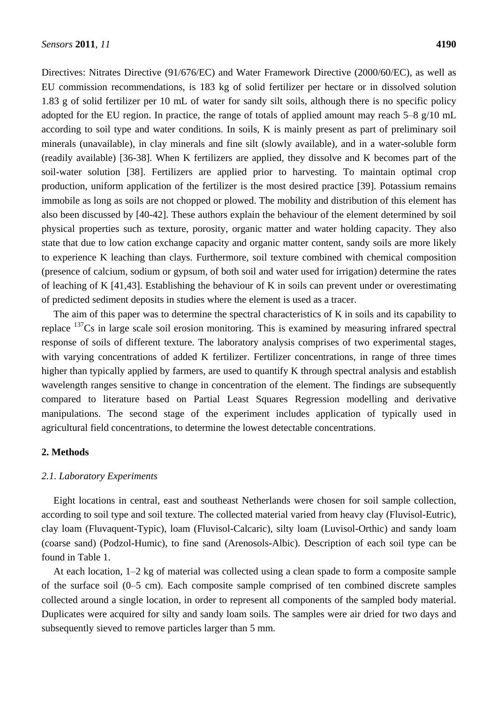Directives: Nitrates Directive (91/676/EC) and Water Framework Directive (2000/60/EC), as well as EU commission recommendations, is 183 kg of solid fertilizer per hectare or in dissolved solution 1.83 g of solid fertilizer per 10 mL of water for sandy silt soils, although there is no specific policy adopted for the EU region. In practice, the range of totals of applied amount may reach 5–8 g/10 mL according to soil type and water conditions. In soils, K is mainly present as part of preliminary soil minerals (unavailable), in clay minerals and fine silt (slowly available), and in a water-soluble form (readily available) [36-38]. When K fertilizers are applied, they dissolve and K becomes part of the soil-water solution [38]. Fertilizers are applied prior to harvesting. To maintain optimal crop production, uniform application of the fertilizer is the most desired practice [39]. Potassium remains immobile as long as soils are not chopped or plowed. The mobility and distribution of this element has also been discussed by [40-42]. These authors explain the behaviour of the element determined by soil physical properties such as texture, porosity, organic matter and water holding capacity. They also state that due to low cation exchange capacity and organic matter content, sandy soils are more likely to experience K leaching than clays. Furthermore, soil texture combined with chemical composition (presence of calcium, sodium or gypsum, of both soil and water used for irrigation) determine the rates of leaching of K [41,43]. Establishing the behaviour of K in soils can prevent under or overestimating of predicted sediment deposits in studies where the element is used as a tracer.

The aim of this paper was to determine the spectral characteristics of K in soils and its capability to replace <sup>137</sup>Cs in large scale soil erosion monitoring. This is examined by measuring infrared spectral response of soils of different texture. The laboratory analysis comprises of two experimental stages, with varying concentrations of added K fertilizer. Fertilizer concentrations, in range of three times higher than typically applied by farmers, are used to quantify K through spectral analysis and establish wavelength ranges sensitive to change in concentration of the element. The findings are subsequently compared to literature based on Partial Least Squares Regression modelling and derivative manipulations. The second stage of the experiment includes application of typically used in agricultural field concentrations, to determine the lowest detectable concentrations.

## **2. Methods**

## *2.1. Laboratory Experiments*

Eight locations in central, east and southeast Netherlands were chosen for soil sample collection, according to soil type and soil texture. The collected material varied from heavy clay (Fluvisol-Eutric), clay loam (Fluvaquent-Typic), loam (Fluvisol-Calcaric), silty loam (Luvisol-Orthic) and sandy loam (coarse sand) (Podzol-Humic), to fine sand (Arenosols-Albic). Description of each soil type can be found in Table 1.

At each location, 1–2 kg of material was collected using a clean spade to form a composite sample of the surface soil (0–5 cm). Each composite sample comprised of ten combined discrete samples collected around a single location, in order to represent all components of the sampled body material. Duplicates were acquired for silty and sandy loam soils. The samples were air dried for two days and subsequently sieved to remove particles larger than 5 mm.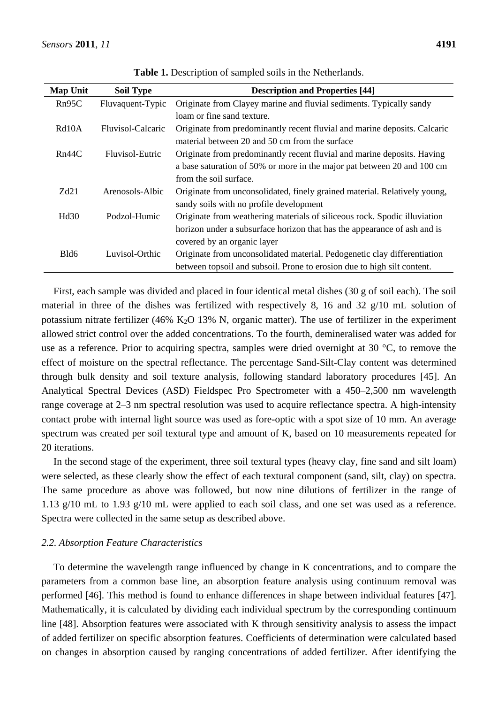| <b>Map Unit</b>    | <b>Soil Type</b>  | <b>Description and Properties [44]</b>                                    |
|--------------------|-------------------|---------------------------------------------------------------------------|
| Rn95C              | Fluvaquent-Typic  | Originate from Clayey marine and fluvial sediments. Typically sandy       |
|                    |                   | loam or fine sand texture.                                                |
| Rd <sub>10</sub> A | Fluvisol-Calcaric | Originate from predominantly recent fluvial and marine deposits. Calcaric |
|                    |                   | material between 20 and 50 cm from the surface                            |
| Rn44C              | Fluvisol-Eutric   | Originate from predominantly recent fluvial and marine deposits. Having   |
|                    |                   | a base saturation of 50% or more in the major pat between 20 and 100 cm   |
|                    |                   | from the soil surface.                                                    |
| Zd21               | Arenosols-Albic   | Originate from unconsolidated, finely grained material. Relatively young, |
|                    |                   | sandy soils with no profile development                                   |
| Hd30               | Podzol-Humic      | Originate from weathering materials of siliceous rock. Spodic illuviation |
|                    |                   | horizon under a subsurface horizon that has the appearance of ash and is  |
|                    |                   | covered by an organic layer                                               |
| Bld6               | Luvisol-Orthic    | Originate from unconsolidated material. Pedogenetic clay differentiation  |
|                    |                   | between topsoil and subsoil. Prone to erosion due to high silt content.   |

**Table 1.** Description of sampled soils in the Netherlands.

First, each sample was divided and placed in four identical metal dishes (30 g of soil each). The soil material in three of the dishes was fertilized with respectively 8, 16 and 32 g/10 mL solution of potassium nitrate fertilizer (46% K<sub>2</sub>O 13% N, organic matter). The use of fertilizer in the experiment allowed strict control over the added concentrations. To the fourth, demineralised water was added for use as a reference. Prior to acquiring spectra, samples were dried overnight at 30  $\degree$ C, to remove the effect of moisture on the spectral reflectance. The percentage Sand-Silt-Clay content was determined through bulk density and soil texture analysis, following standard laboratory procedures [45]. An Analytical Spectral Devices (ASD) Fieldspec Pro Spectrometer with a 450–2,500 nm wavelength range coverage at 2–3 nm spectral resolution was used to acquire reflectance spectra. A high-intensity contact probe with internal light source was used as fore-optic with a spot size of 10 mm. An average spectrum was created per soil textural type and amount of K, based on 10 measurements repeated for 20 iterations.

In the second stage of the experiment, three soil textural types (heavy clay, fine sand and silt loam) were selected, as these clearly show the effect of each textural component (sand, silt, clay) on spectra. The same procedure as above was followed, but now nine dilutions of fertilizer in the range of 1.13 g/10 mL to 1.93 g/10 mL were applied to each soil class, and one set was used as a reference. Spectra were collected in the same setup as described above.

## *2.2. Absorption Feature Characteristics*

To determine the wavelength range influenced by change in K concentrations, and to compare the parameters from a common base line, an absorption feature analysis using continuum removal was performed [46]. This method is found to enhance differences in shape between individual features [47]. Mathematically, it is calculated by dividing each individual spectrum by the corresponding continuum line [48]. Absorption features were associated with K through sensitivity analysis to assess the impact of added fertilizer on specific absorption features. Coefficients of determination were calculated based on changes in absorption caused by ranging concentrations of added fertilizer. After identifying the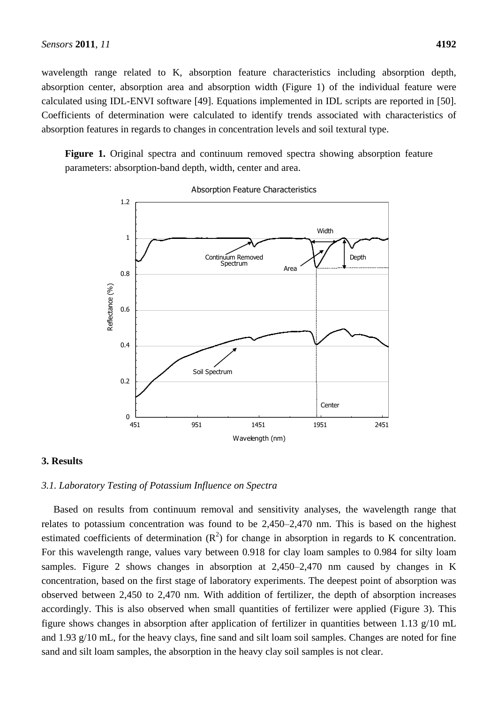wavelength range related to K, absorption feature characteristics including absorption depth, absorption center, absorption area and absorption width (Figure 1) of the individual feature were calculated using IDL-ENVI software [49]. Equations implemented in IDL scripts are reported in [50]. Coefficients of determination were calculated to identify trends associated with characteristics of absorption features in regards to changes in concentration levels and soil textural type.

**Figure 1.** Original spectra and continuum removed spectra showing absorption feature parameters: absorption-band depth, width, center and area.



Absorption Feature Characteristics

#### **3. Results**

## *3.1. Laboratory Testing of Potassium Influence on Spectra*

Based on results from continuum removal and sensitivity analyses, the wavelength range that relates to potassium concentration was found to be 2,450–2,470 nm. This is based on the highest estimated coefficients of determination  $(R^2)$  for change in absorption in regards to K concentration. For this wavelength range, values vary between 0.918 for clay loam samples to 0.984 for silty loam samples. Figure 2 shows changes in absorption at 2,450–2,470 nm caused by changes in K concentration, based on the first stage of laboratory experiments. The deepest point of absorption was observed between 2,450 to 2,470 nm. With addition of fertilizer, the depth of absorption increases accordingly. This is also observed when small quantities of fertilizer were applied (Figure 3). This figure shows changes in absorption after application of fertilizer in quantities between 1.13 g/10 mL and 1.93 g/10 mL, for the heavy clays, fine sand and silt loam soil samples. Changes are noted for fine sand and silt loam samples, the absorption in the heavy clay soil samples is not clear.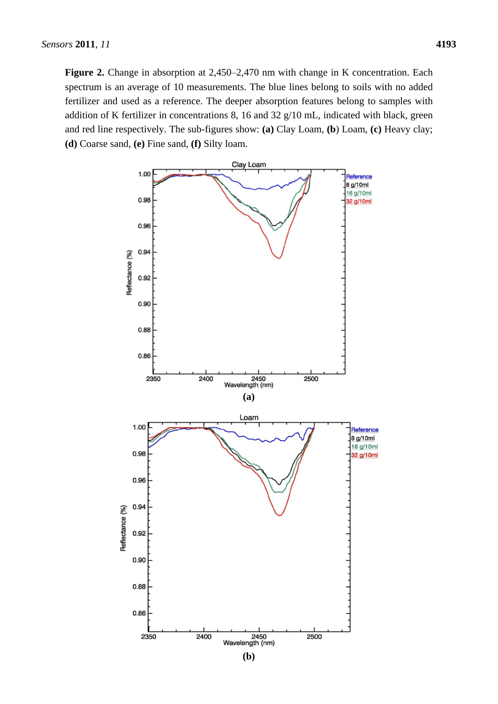**Figure 2.** Change in absorption at 2,450–2,470 nm with change in K concentration. Each spectrum is an average of 10 measurements. The blue lines belong to soils with no added fertilizer and used as a reference. The deeper absorption features belong to samples with addition of K fertilizer in concentrations 8, 16 and 32 g/10 mL, indicated with black, green and red line respectively. The sub-figures show: **(a)** Clay Loam, **(b**) Loam, **(c)** Heavy clay; **(d)** Coarse sand, **(e)** Fine sand, **(f)** Silty loam.

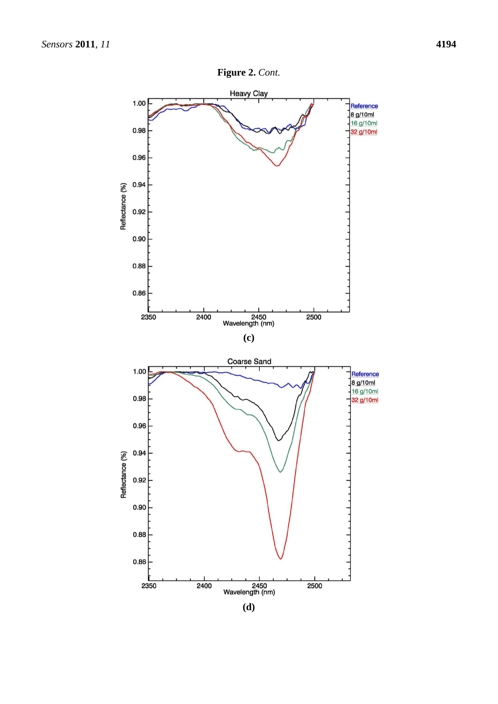

**(d)**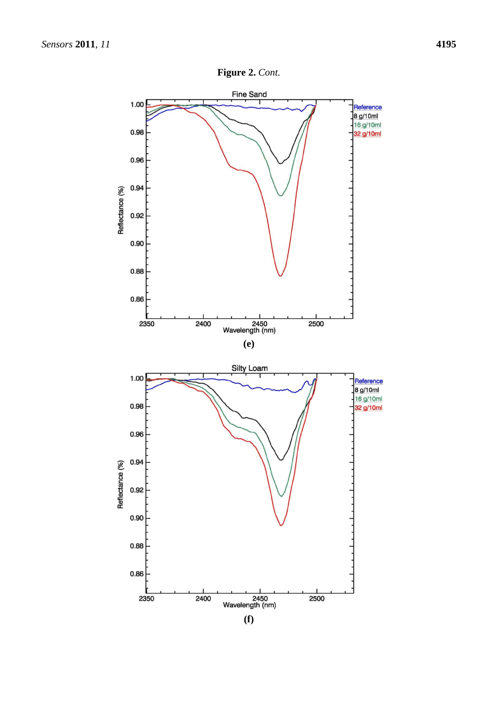



**(f)**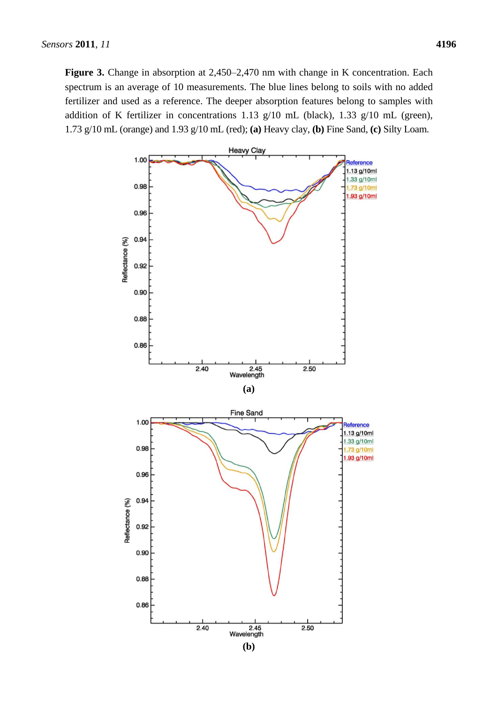**Figure 3.** Change in absorption at 2,450–2,470 nm with change in K concentration. Each spectrum is an average of 10 measurements. The blue lines belong to soils with no added fertilizer and used as a reference. The deeper absorption features belong to samples with addition of K fertilizer in concentrations 1.13 g/10 mL (black), 1.33 g/10 mL (green), 1.73 g/10 mL (orange) and 1.93 g/10 mL (red); **(a)** Heavy clay, **(b)** Fine Sand, **(c)** Silty Loam.

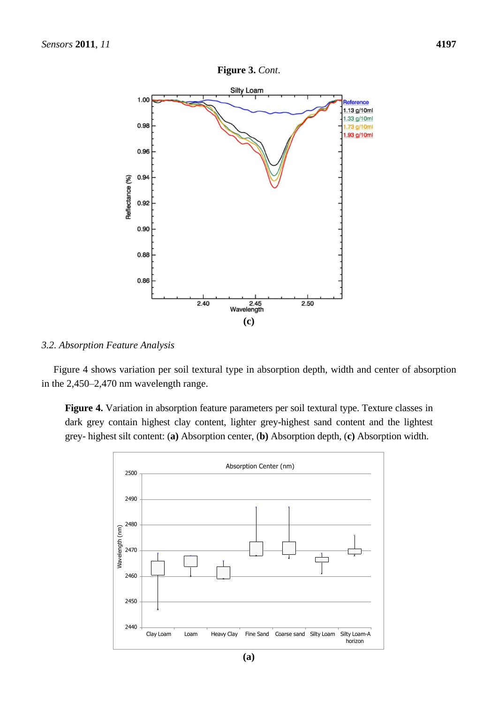

#### *3.2. Absorption Feature Analysis*

Figure 4 shows variation per soil textural type in absorption depth, width and center of absorption in the 2,450–2,470 nm wavelength range.

**Figure 4.** Variation in absorption feature parameters per soil textural type. Texture classes in dark grey contain highest clay content, lighter grey-highest sand content and the lightest grey- highest silt content: (**a)** Absorption center, (**b)** Absorption depth, (**c)** Absorption width.

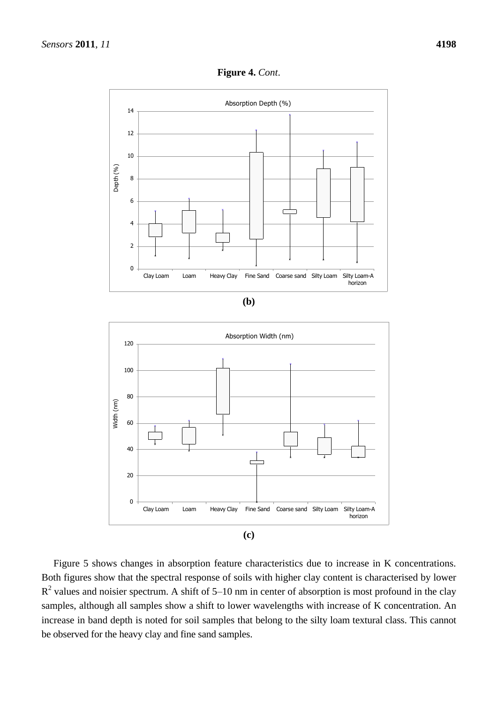

**Figure 4.** *Cont*.





Figure 5 shows changes in absorption feature characteristics due to increase in K concentrations. Both figures show that the spectral response of soils with higher clay content is characterised by lower  $R<sup>2</sup>$  values and noisier spectrum. A shift of 5–10 nm in center of absorption is most profound in the clay samples, although all samples show a shift to lower wavelengths with increase of K concentration. An increase in band depth is noted for soil samples that belong to the silty loam textural class. This cannot be observed for the heavy clay and fine sand samples.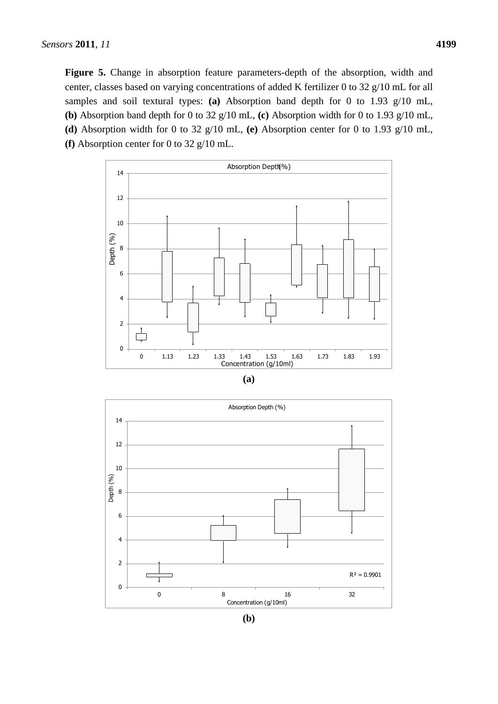**Figure 5.** Change in absorption feature parameters-depth of the absorption, width and center, classes based on varying concentrations of added K fertilizer 0 to 32 g/10 mL for all samples and soil textural types: **(a)** Absorption band depth for 0 to 1.93 g/10 mL, **(b)** Absorption band depth for 0 to 32 g/10 mL, **(c)** Absorption width for 0 to 1.93 g/10 mL, **(d)** Absorption width for 0 to 32 g/10 mL, **(e)** Absorption center for 0 to 1.93 g/10 mL, **(f)** Absorption center for 0 to 32 g/10 mL.



| × | .,<br>۰. |
|---|----------|
|   |          |



**(b)**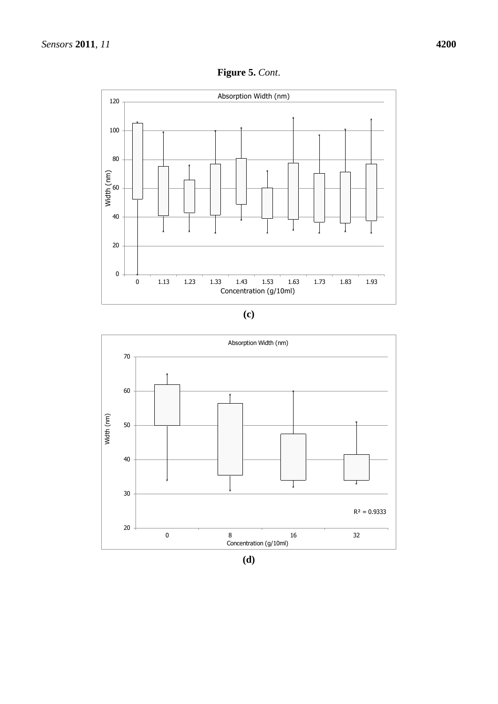

**(c)**



**(d)**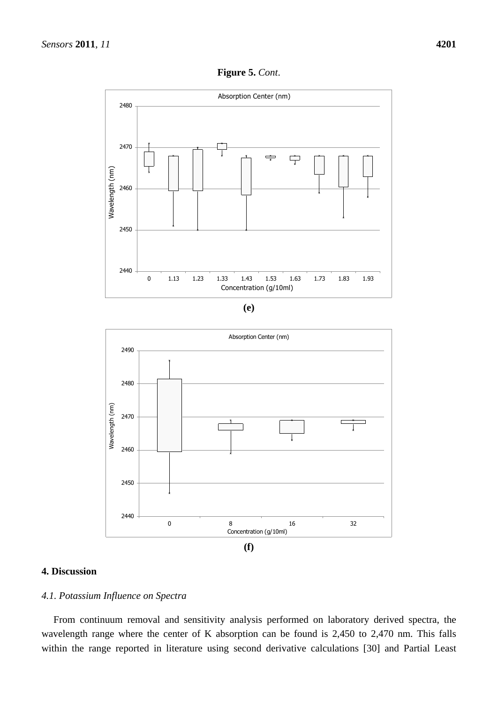

| ۰.           |
|--------------|
| ×<br>۰.<br>I |



# **4. Discussion**

# *4.1. Potassium Influence on Spectra*

From continuum removal and sensitivity analysis performed on laboratory derived spectra, the wavelength range where the center of K absorption can be found is 2,450 to 2,470 nm. This falls within the range reported in literature using second derivative calculations [30] and Partial Least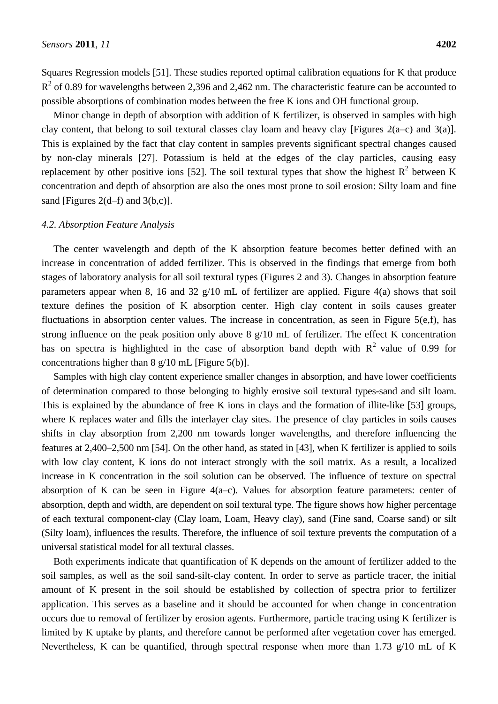Squares Regression models [51]. These studies reported optimal calibration equations for K that produce  $R<sup>2</sup>$  of 0.89 for wavelengths between 2,396 and 2,462 nm. The characteristic feature can be accounted to possible absorptions of combination modes between the free K ions and OH functional group.

Minor change in depth of absorption with addition of K fertilizer, is observed in samples with high clay content, that belong to soil textural classes clay loam and heavy clay [Figures 2(a–c) and 3(a)]. This is explained by the fact that clay content in samples prevents significant spectral changes caused by non-clay minerals [27]. Potassium is held at the edges of the clay particles, causing easy replacement by other positive ions [52]. The soil textural types that show the highest  $R^2$  between K concentration and depth of absorption are also the ones most prone to soil erosion: Silty loam and fine sand [Figures  $2(d-f)$  and  $3(b,c)$ ].

## *4.2. Absorption Feature Analysis*

The center wavelength and depth of the K absorption feature becomes better defined with an increase in concentration of added fertilizer. This is observed in the findings that emerge from both stages of laboratory analysis for all soil textural types (Figures 2 and 3). Changes in absorption feature parameters appear when 8, 16 and 32  $g/10$  mL of fertilizer are applied. Figure 4(a) shows that soil texture defines the position of K absorption center. High clay content in soils causes greater fluctuations in absorption center values. The increase in concentration, as seen in Figure 5(e,f), has strong influence on the peak position only above 8 g/10 mL of fertilizer. The effect K concentration has on spectra is highlighted in the case of absorption band depth with  $R^2$  value of 0.99 for concentrations higher than  $8 \frac{\text{g}}{10 \text{ mL}}$  [Figure 5(b)].

Samples with high clay content experience smaller changes in absorption, and have lower coefficients of determination compared to those belonging to highly erosive soil textural types-sand and silt loam. This is explained by the abundance of free K ions in clays and the formation of illite-like [53] groups, where K replaces water and fills the interlayer clay sites. The presence of clay particles in soils causes shifts in clay absorption from 2,200 nm towards longer wavelengths, and therefore influencing the features at 2,400–2,500 nm [54]. On the other hand, as stated in [43], when K fertilizer is applied to soils with low clay content, K ions do not interact strongly with the soil matrix. As a result, a localized increase in K concentration in the soil solution can be observed. The influence of texture on spectral absorption of K can be seen in Figure 4(a–c). Values for absorption feature parameters: center of absorption, depth and width, are dependent on soil textural type. The figure shows how higher percentage of each textural component-clay (Clay loam, Loam, Heavy clay), sand (Fine sand, Coarse sand) or silt (Silty loam), influences the results. Therefore, the influence of soil texture prevents the computation of a universal statistical model for all textural classes.

Both experiments indicate that quantification of K depends on the amount of fertilizer added to the soil samples, as well as the soil sand-silt-clay content. In order to serve as particle tracer, the initial amount of K present in the soil should be established by collection of spectra prior to fertilizer application. This serves as a baseline and it should be accounted for when change in concentration occurs due to removal of fertilizer by erosion agents. Furthermore, particle tracing using K fertilizer is limited by K uptake by plants, and therefore cannot be performed after vegetation cover has emerged. Nevertheless, K can be quantified, through spectral response when more than 1.73 g/10 mL of K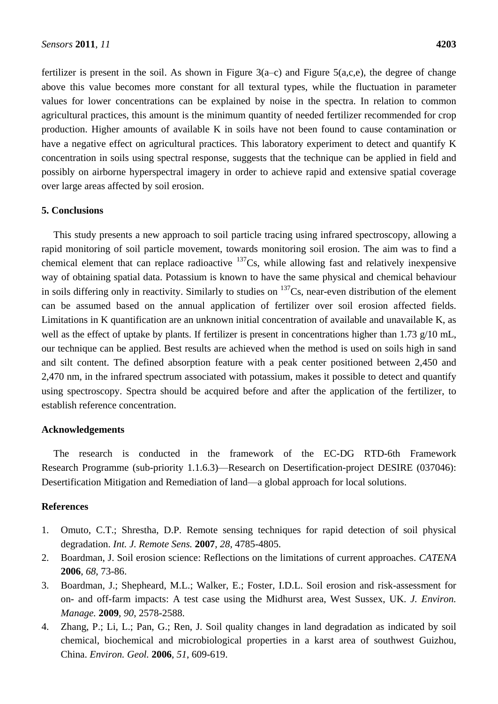fertilizer is present in the soil. As shown in Figure  $3(a-c)$  and Figure  $5(a,c,e)$ , the degree of change above this value becomes more constant for all textural types, while the fluctuation in parameter values for lower concentrations can be explained by noise in the spectra. In relation to common agricultural practices, this amount is the minimum quantity of needed fertilizer recommended for crop production. Higher amounts of available K in soils have not been found to cause contamination or have a negative effect on agricultural practices. This laboratory experiment to detect and quantify K concentration in soils using spectral response, suggests that the technique can be applied in field and possibly on airborne hyperspectral imagery in order to achieve rapid and extensive spatial coverage over large areas affected by soil erosion.

# **5. Conclusions**

This study presents a new approach to soil particle tracing using infrared spectroscopy, allowing a rapid monitoring of soil particle movement, towards monitoring soil erosion. The aim was to find a chemical element that can replace radioactive  $137Cs$ , while allowing fast and relatively inexpensive way of obtaining spatial data. Potassium is known to have the same physical and chemical behaviour in soils differing only in reactivity. Similarly to studies on  $137Cs$ , near-even distribution of the element can be assumed based on the annual application of fertilizer over soil erosion affected fields. Limitations in K quantification are an unknown initial concentration of available and unavailable K, as well as the effect of uptake by plants. If fertilizer is present in concentrations higher than 1.73 g/10 mL, our technique can be applied. Best results are achieved when the method is used on soils high in sand and silt content. The defined absorption feature with a peak center positioned between 2,450 and 2,470 nm, in the infrared spectrum associated with potassium, makes it possible to detect and quantify using spectroscopy. Spectra should be acquired before and after the application of the fertilizer, to establish reference concentration.

## **Acknowledgements**

The research is conducted in the framework of the EC-DG RTD-6th Framework Research Programme (sub-priority 1.1.6.3)—Research on Desertification-project DESIRE (037046): Desertification Mitigation and Remediation of land—a global approach for local solutions.

#### **References**

- 1. Omuto, C.T.; Shrestha, D.P. Remote sensing techniques for rapid detection of soil physical degradation. *Int. J. Remote Sens.* **2007**, *28*, 4785-4805.
- 2. Boardman, J. Soil erosion science: Reflections on the limitations of current approaches. *CATENA* **2006**, *68*, 73-86.
- 3. Boardman, J.; Shepheard, M.L.; Walker, E.; Foster, I.D.L. Soil erosion and risk-assessment for on- and off-farm impacts: A test case using the Midhurst area, West Sussex, UK. *J. Environ. Manage.* **2009**, *90*, 2578-2588.
- 4. Zhang, P.; Li, L.; Pan, G.; Ren, J. Soil quality changes in land degradation as indicated by soil chemical, biochemical and microbiological properties in a karst area of southwest Guizhou, China. *Environ. Geol.* **2006**, *51*, 609-619.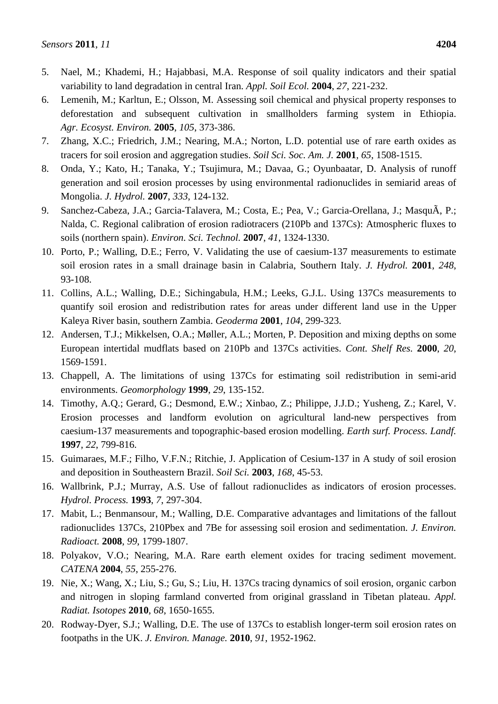- 5. Nael, M.; Khademi, H.; Hajabbasi, M.A. Response of soil quality indicators and their spatial variability to land degradation in central Iran. *Appl. Soil Ecol.* **2004**, *27*, 221-232.
- 6. Lemenih, M.; Karltun, E.; Olsson, M. Assessing soil chemical and physical property responses to deforestation and subsequent cultivation in smallholders farming system in Ethiopia. *Agr. Ecosyst. Environ.* **2005**, *105*, 373-386.
- 7. Zhang, X.C.; Friedrich, J.M.; Nearing, M.A.; Norton, L.D. potential use of rare earth oxides as tracers for soil erosion and aggregation studies. *Soil Sci. Soc. Am. J.* **2001**, *65*, 1508-1515.
- 8. Onda, Y.; Kato, H.; Tanaka, Y.; Tsujimura, M.; Davaa, G.; Oyunbaatar, D. Analysis of runoff generation and soil erosion processes by using environmental radionuclides in semiarid areas of Mongolia. *J. Hydrol.* **2007**, *333*, 124-132.
- 9. Sanchez-Cabeza, J.A.; Garcia-Talavera, M.; Costa, E.; Pea, V.; Garcia-Orellana, J.; MasquÃ, P.; Nalda, C. Regional calibration of erosion radiotracers (210Pb and 137Cs): Atmospheric fluxes to soils (northern spain). *Environ. Sci. Technol.* **2007**, *41*, 1324-1330.
- 10. Porto, P.; Walling, D.E.; Ferro, V. Validating the use of caesium-137 measurements to estimate soil erosion rates in a small drainage basin in Calabria, Southern Italy. *J. Hydrol.* **2001**, *248*, 93-108.
- 11. Collins, A.L.; Walling, D.E.; Sichingabula, H.M.; Leeks, G.J.L. Using 137Cs measurements to quantify soil erosion and redistribution rates for areas under different land use in the Upper Kaleya River basin, southern Zambia. *Geoderma* **2001**, *104*, 299-323.
- 12. Andersen, T.J.; Mikkelsen, O.A.; Møller, A.L.; Morten, P. Deposition and mixing depths on some European intertidal mudflats based on 210Pb and 137Cs activities. *Cont. Shelf Res.* **2000**, *20*, 1569-1591.
- 13. Chappell, A. The limitations of using 137Cs for estimating soil redistribution in semi-arid environments. *Geomorphology* **1999**, *29*, 135-152.
- 14. Timothy, A.Q.; Gerard, G.; Desmond, E.W.; Xinbao, Z.; Philippe, J.J.D.; Yusheng, Z.; Karel, V. Erosion processes and landform evolution on agricultural land-new perspectives from caesium-137 measurements and topographic-based erosion modelling. *Earth surf. Process. Landf.* **1997**, *22*, 799-816.
- 15. Guimaraes, M.F.; Filho, V.F.N.; Ritchie, J. Application of Cesium-137 in A study of soil erosion and deposition in Southeastern Brazil. *Soil Sci.* **2003**, *168*, 45-53.
- 16. Wallbrink, P.J.; Murray, A.S. Use of fallout radionuclides as indicators of erosion processes. *Hydrol. Process.* **1993**, *7*, 297-304.
- 17. Mabit, L.; Benmansour, M.; Walling, D.E. Comparative advantages and limitations of the fallout radionuclides 137Cs, 210Pbex and 7Be for assessing soil erosion and sedimentation. *J. Environ. Radioact.* **2008**, *99*, 1799-1807.
- 18. Polyakov, V.O.; Nearing, M.A. Rare earth element oxides for tracing sediment movement. *CATENA* **2004**, *55*, 255-276.
- 19. Nie, X.; Wang, X.; Liu, S.; Gu, S.; Liu, H. 137Cs tracing dynamics of soil erosion, organic carbon and nitrogen in sloping farmland converted from original grassland in Tibetan plateau. *Appl. Radiat. Isotopes* **2010**, *68*, 1650-1655.
- 20. Rodway-Dyer, S.J.; Walling, D.E. The use of 137Cs to establish longer-term soil erosion rates on footpaths in the UK. *J. Environ. Manage.* **2010**, *91*, 1952-1962.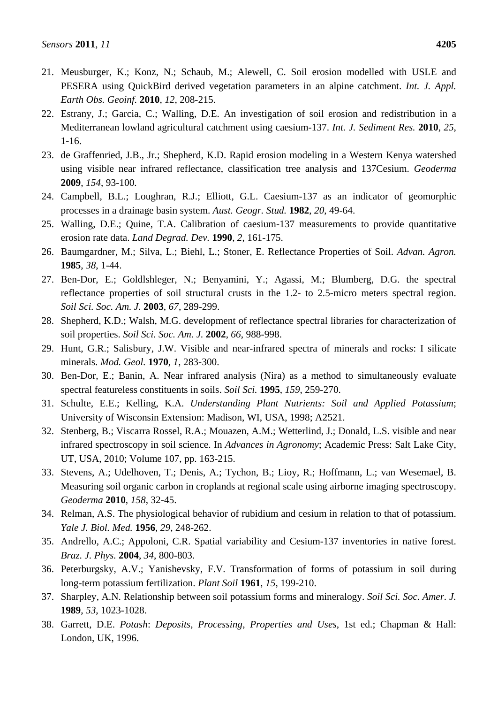- 21. Meusburger, K.; Konz, N.; Schaub, M.; Alewell, C. Soil erosion modelled with USLE and PESERA using QuickBird derived vegetation parameters in an alpine catchment. *Int. J. Appl. Earth Obs. Geoinf.* **2010**, *12*, 208-215.
- 22. Estrany, J.; Garcia, C.; Walling, D.E. An investigation of soil erosion and redistribution in a Mediterranean lowland agricultural catchment using caesium-137. *Int. J. Sediment Res.* **2010**, *25*, 1-16.
- 23. de Graffenried, J.B., Jr.; Shepherd, K.D. Rapid erosion modeling in a Western Kenya watershed using visible near infrared reflectance, classification tree analysis and 137Cesium. *Geoderma* **2009**, *154*, 93-100.
- 24. Campbell, B.L.; Loughran, R.J.; Elliott, G.L. Caesium-137 as an indicator of geomorphic processes in a drainage basin system. *Aust. Geogr. Stud.* **1982**, *20*, 49-64.
- 25. Walling, D.E.; Quine, T.A. Calibration of caesium-137 measurements to provide quantitative erosion rate data. *Land Degrad. Dev.* **1990**, *2*, 161-175.
- 26. Baumgardner, M.; Silva, L.; Biehl, L.; Stoner, E. Reflectance Properties of Soil. *Advan. Agron.* **1985**, *38*, 1-44.
- 27. Ben-Dor, E.; Goldlshleger, N.; Benyamini, Y.; Agassi, M.; Blumberg, D.G. the spectral reflectance properties of soil structural crusts in the 1.2- to 2.5-micro meters spectral region. *Soil Sci. Soc. Am. J.* **2003**, *67*, 289-299.
- 28. Shepherd, K.D.; Walsh, M.G. development of reflectance spectral libraries for characterization of soil properties. *Soil Sci. Soc. Am. J.* **2002**, *66*, 988-998.
- 29. Hunt, G.R.; Salisbury, J.W. Visible and near-infrared spectra of minerals and rocks: I silicate minerals. *Mod. Geol.* **1970**, *1*, 283-300.
- 30. Ben-Dor, E.; Banin, A. Near infrared analysis (Nira) as a method to simultaneously evaluate spectral featureless constituents in soils. *Soil Sci.* **1995**, *159*, 259-270.
- 31. Schulte, E.E.; Kelling, K.A. *Understanding Plant Nutrients: Soil and Applied Potassium*; University of Wisconsin Extension: Madison, WI, USA, 1998; A2521.
- 32. Stenberg, B.; Viscarra Rossel, R.A.; Mouazen, A.M.; Wetterlind, J.; Donald, L.S. visible and near infrared spectroscopy in soil science. In *Advances in Agronomy*; Academic Press: Salt Lake City, UT, USA, 2010; Volume 107, pp. 163-215.
- 33. Stevens, A.; Udelhoven, T.; Denis, A.; Tychon, B.; Lioy, R.; Hoffmann, L.; van Wesemael, B. Measuring soil organic carbon in croplands at regional scale using airborne imaging spectroscopy. *Geoderma* **2010**, *158*, 32-45.
- 34. Relman, A.S. The physiological behavior of rubidium and cesium in relation to that of potassium. *Yale J. Biol. Med.* **1956**, *29*, 248-262.
- 35. Andrello, A.C.; Appoloni, C.R. Spatial variability and Cesium-137 inventories in native forest. *Braz. J. Phys.* **2004**, *34*, 800-803.
- 36. Peterburgsky, A.V.; Yanishevsky, F.V. Transformation of forms of potassium in soil during long-term potassium fertilization. *Plant Soil* **1961**, *15*, 199-210.
- 37. Sharpley, A.N. Relationship between soil potassium forms and mineralogy. *Soil Sci. Soc. Amer. J.* **1989**, *53*, 1023-1028.
- 38. Garrett, D.E. *Potash*: *Deposits*, *Processing*, *Properties and Uses*, 1st ed.; Chapman & Hall: London, UK, 1996.